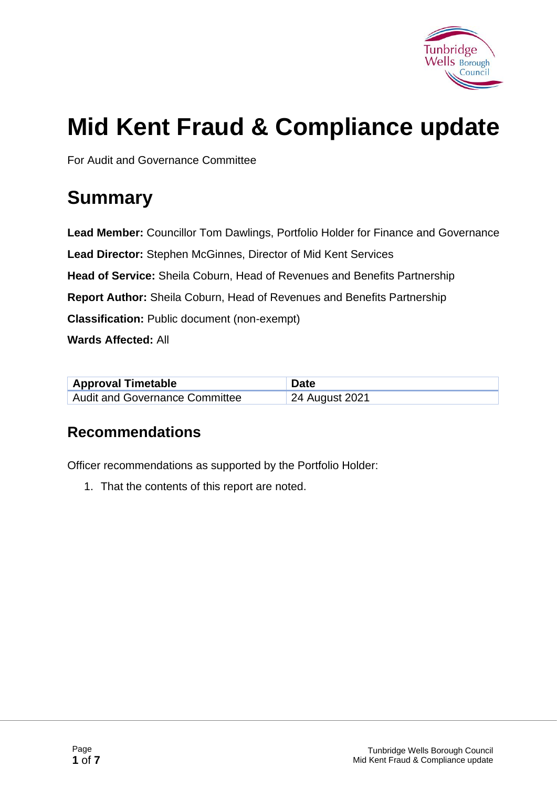

# **Mid Kent Fraud & Compliance update**

For Audit and Governance Committee

## **Summary**

**Lead Member:** Councillor Tom Dawlings, Portfolio Holder for Finance and Governance **Lead Director:** Stephen McGinnes, Director of Mid Kent Services **Head of Service:** Sheila Coburn, Head of Revenues and Benefits Partnership **Report Author:** Sheila Coburn, Head of Revenues and Benefits Partnership **Classification:** Public document (non-exempt) **Wards Affected:** All

| <b>Approval Timetable</b>             | Date           |
|---------------------------------------|----------------|
| <b>Audit and Governance Committee</b> | 24 August 2021 |

#### **Recommendations**

Officer recommendations as supported by the Portfolio Holder:

1. That the contents of this report are noted.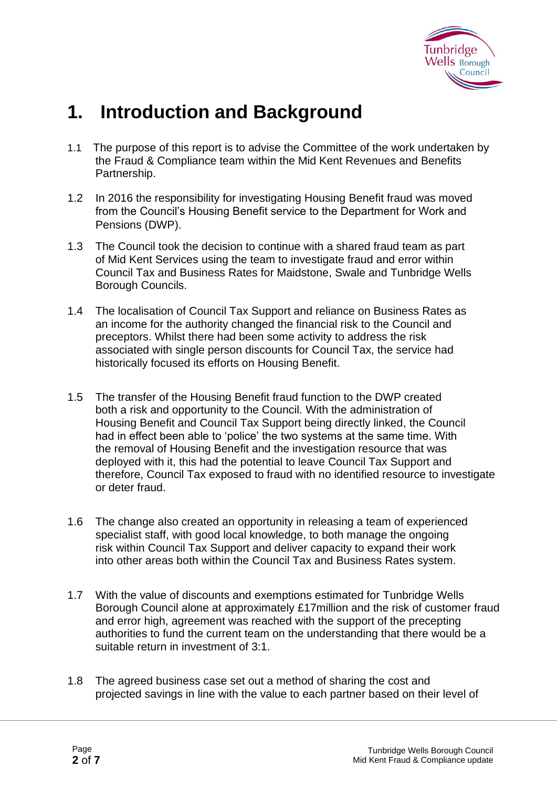

## **1. Introduction and Background**

- 1.1 The purpose of this report is to advise the Committee of the work undertaken by the Fraud & Compliance team within the Mid Kent Revenues and Benefits Partnership.
- 1.2 In 2016 the responsibility for investigating Housing Benefit fraud was moved from the Council's Housing Benefit service to the Department for Work and Pensions (DWP).
- 1.3 The Council took the decision to continue with a shared fraud team as part of Mid Kent Services using the team to investigate fraud and error within Council Tax and Business Rates for Maidstone, Swale and Tunbridge Wells Borough Councils.
- 1.4 The localisation of Council Tax Support and reliance on Business Rates as an income for the authority changed the financial risk to the Council and preceptors. Whilst there had been some activity to address the risk associated with single person discounts for Council Tax, the service had historically focused its efforts on Housing Benefit.
- 1.5 The transfer of the Housing Benefit fraud function to the DWP created both a risk and opportunity to the Council. With the administration of Housing Benefit and Council Tax Support being directly linked, the Council had in effect been able to 'police' the two systems at the same time. With the removal of Housing Benefit and the investigation resource that was deployed with it, this had the potential to leave Council Tax Support and therefore, Council Tax exposed to fraud with no identified resource to investigate or deter fraud.
- 1.6 The change also created an opportunity in releasing a team of experienced specialist staff, with good local knowledge, to both manage the ongoing risk within Council Tax Support and deliver capacity to expand their work into other areas both within the Council Tax and Business Rates system.
- 1.7 With the value of discounts and exemptions estimated for Tunbridge Wells Borough Council alone at approximately £17million and the risk of customer fraud and error high, agreement was reached with the support of the precepting authorities to fund the current team on the understanding that there would be a suitable return in investment of 3:1.
- 1.8 The agreed business case set out a method of sharing the cost and projected savings in line with the value to each partner based on their level of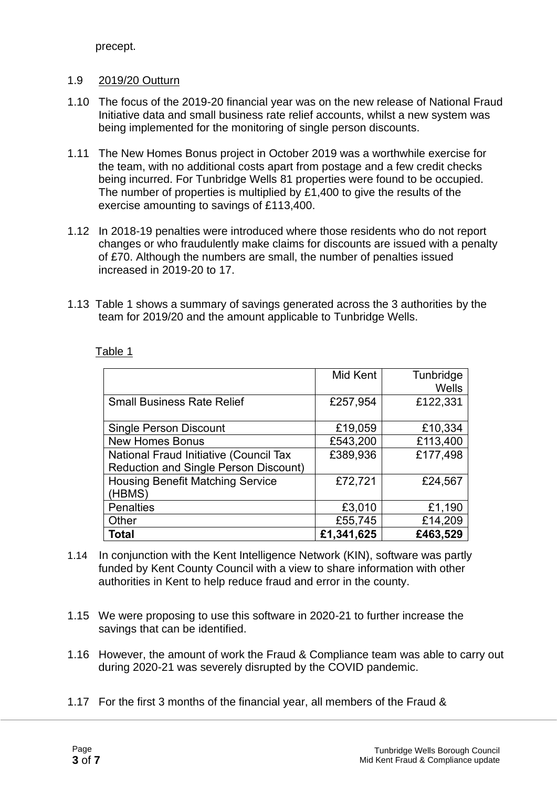precept.

#### 1.9 2019/20 Outturn

- 1.10 The focus of the 2019-20 financial year was on the new release of National Fraud Initiative data and small business rate relief accounts, whilst a new system was being implemented for the monitoring of single person discounts.
- 1.11 The New Homes Bonus project in October 2019 was a worthwhile exercise for the team, with no additional costs apart from postage and a few credit checks being incurred. For Tunbridge Wells 81 properties were found to be occupied. The number of properties is multiplied by £1,400 to give the results of the exercise amounting to savings of £113,400.
- 1.12 In 2018-19 penalties were introduced where those residents who do not report changes or who fraudulently make claims for discounts are issued with a penalty of £70. Although the numbers are small, the number of penalties issued increased in 2019-20 to 17.
- 1.13 Table 1 shows a summary of savings generated across the 3 authorities by the team for 2019/20 and the amount applicable to Tunbridge Wells.

|                                               | Mid Kent   | Tunbridge<br>Wells |
|-----------------------------------------------|------------|--------------------|
| <b>Small Business Rate Relief</b>             | £257,954   | £122,331           |
| <b>Single Person Discount</b>                 | £19,059    | £10,334            |
| <b>New Homes Bonus</b>                        | £543,200   | £113,400           |
| <b>National Fraud Initiative (Council Tax</b> | £389,936   | £177,498           |
| <b>Reduction and Single Person Discount)</b>  |            |                    |
| <b>Housing Benefit Matching Service</b>       | £72,721    | £24,567            |
| (HBMS)                                        |            |                    |
| <b>Penalties</b>                              | £3,010     | £1,190             |
| Other                                         | £55,745    | £14,209            |
| <b>Total</b>                                  | £1,341,625 | £463,529           |

#### Table 1

- 1.14 In conjunction with the Kent Intelligence Network (KIN), software was partly funded by Kent County Council with a view to share information with other authorities in Kent to help reduce fraud and error in the county.
- 1.15 We were proposing to use this software in 2020-21 to further increase the savings that can be identified.
- 1.16 However, the amount of work the Fraud & Compliance team was able to carry out during 2020-21 was severely disrupted by the COVID pandemic.
- 1.17 For the first 3 months of the financial year, all members of the Fraud &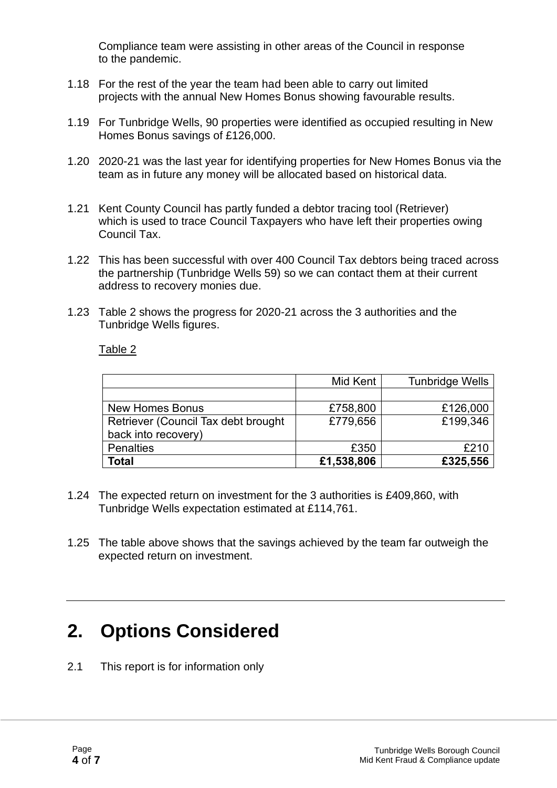Compliance team were assisting in other areas of the Council in response to the pandemic.

- 1.18 For the rest of the year the team had been able to carry out limited projects with the annual New Homes Bonus showing favourable results.
- 1.19 For Tunbridge Wells, 90 properties were identified as occupied resulting in New Homes Bonus savings of £126,000.
- 1.20 2020-21 was the last year for identifying properties for New Homes Bonus via the team as in future any money will be allocated based on historical data.
- 1.21 Kent County Council has partly funded a debtor tracing tool (Retriever) which is used to trace Council Taxpayers who have left their properties owing Council Tax.
- 1.22 This has been successful with over 400 Council Tax debtors being traced across the partnership (Tunbridge Wells 59) so we can contact them at their current address to recovery monies due.
- 1.23 Table 2 shows the progress for 2020-21 across the 3 authorities and the Tunbridge Wells figures.

#### Table 2

|                                     | Mid Kent   | <b>Tunbridge Wells</b> |
|-------------------------------------|------------|------------------------|
|                                     |            |                        |
| <b>New Homes Bonus</b>              | £758,800   | £126,000               |
| Retriever (Council Tax debt brought | £779,656   | £199,346               |
| back into recovery)                 |            |                        |
| <b>Penalties</b>                    | £350       | £210                   |
| Total                               | £1,538,806 | £325,556               |

- 1.24 The expected return on investment for the 3 authorities is £409,860, with Tunbridge Wells expectation estimated at £114,761.
- 1.25 The table above shows that the savings achieved by the team far outweigh the expected return on investment.

### **2. Options Considered**

2.1 This report is for information only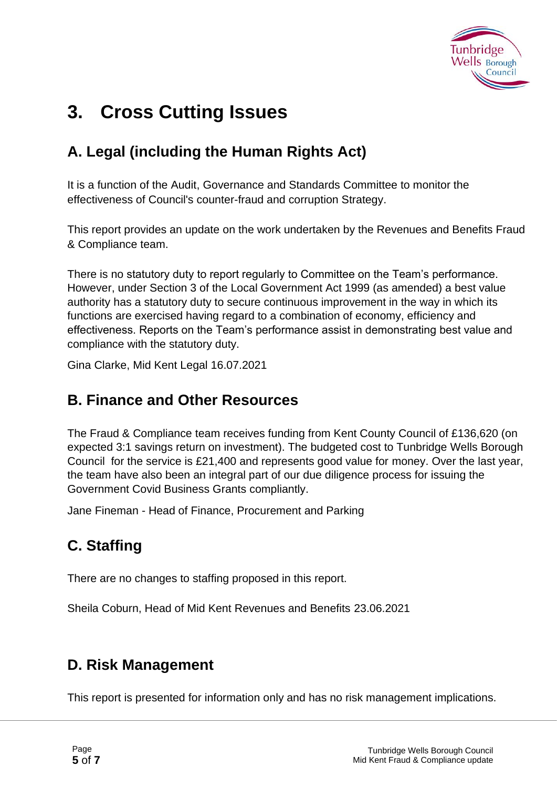

## **3. Cross Cutting Issues**

#### **A. Legal (including the Human Rights Act)**

It is a function of the Audit, Governance and Standards Committee to monitor the effectiveness of Council's counter-fraud and corruption Strategy.

This report provides an update on the work undertaken by the Revenues and Benefits Fraud & Compliance team.

There is no statutory duty to report regularly to Committee on the Team's performance. However, under Section 3 of the Local Government Act 1999 (as amended) a best value authority has a statutory duty to secure continuous improvement in the way in which its functions are exercised having regard to a combination of economy, efficiency and effectiveness. Reports on the Team's performance assist in demonstrating best value and compliance with the statutory duty.

Gina Clarke, Mid Kent Legal 16.07.2021

#### **B. Finance and Other Resources**

The Fraud & Compliance team receives funding from Kent County Council of £136,620 (on expected 3:1 savings return on investment). The budgeted cost to Tunbridge Wells Borough Council for the service is £21,400 and represents good value for money. Over the last year, the team have also been an integral part of our due diligence process for issuing the Government Covid Business Grants compliantly.

Jane Fineman - Head of Finance, Procurement and Parking

### **C. Staffing**

There are no changes to staffing proposed in this report.

Sheila Coburn, Head of Mid Kent Revenues and Benefits 23.06.2021

#### **D. Risk Management**

This report is presented for information only and has no risk management implications.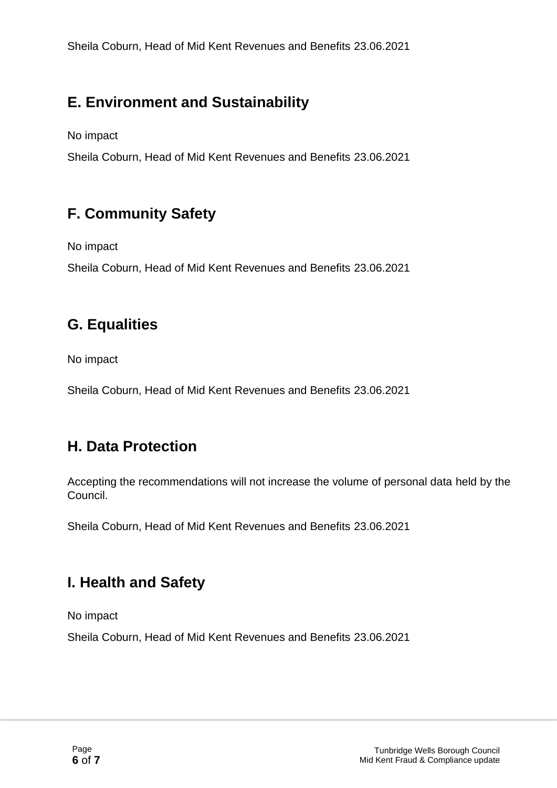Sheila Coburn, Head of Mid Kent Revenues and Benefits 23.06.2021

#### **E. Environment and Sustainability**

No impact

Sheila Coburn, Head of Mid Kent Revenues and Benefits 23.06.2021

#### **F. Community Safety**

No impact

Sheila Coburn, Head of Mid Kent Revenues and Benefits 23.06.2021

#### **G. Equalities**

No impact

Sheila Coburn, Head of Mid Kent Revenues and Benefits 23.06.2021

#### **H. Data Protection**

Accepting the recommendations will not increase the volume of personal data held by the Council.

Sheila Coburn, Head of Mid Kent Revenues and Benefits 23.06.2021

#### **I. Health and Safety**

No impact

Sheila Coburn, Head of Mid Kent Revenues and Benefits 23.06.2021